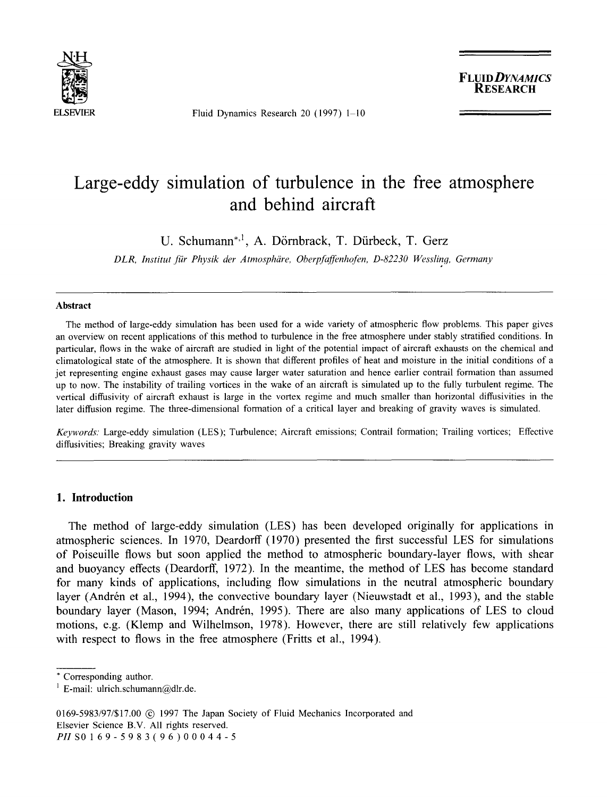

ELSEVIER Fluid Dynamics Research 20 (1997) 1-10

*FLUID DYNAMICS*  **RESEARCH** 

# **Large-eddy simulation of turbulence in the free atmosphere and behind aircraft**

U. Schumann<sup>\*,1</sup>, A. Dörnbrack, T. Dürbeck, T. Gerz

*DLR, Institut J~ir Physik der Atmosphdre, Oberpfaffenhofen, D-82230 Wessling, Germany* 

#### **Abstract**

The method of large-eddy simulation has been used for a wide variety of atmospheric flow problems. This paper gives an overview on recent applications of this method to turbulence in the free atmosphere under stably stratified conditions. In particular, flows in the wake of aircraft are studied in light of the potential impact of aircraft exhausts on the chemical and climatological state of the atmosphere. It is shown that different profiles of heat and moisture in the initial conditions of a jet representing engine exhaust gases may cause larger water saturation and hence earlier contrail formation than assumed up to now. The instability of trailing vortices in the wake of an aircraft is simulated up to the fully turbulent regime. The vertical diffusivity of aircraft exhaust is large in the vortex regime and much smaller than horizontal diffusivities in the later diffusion regime. The three-dimensional formation of a critical layer and breaking of gravity waves is simulated.

*Keywords:* Large-eddy simulation (LES); Turbulence; Aircraft emissions; Contrail formation; Trailing vortices; Effective diffusivities; Breaking gravity waves

#### **I. Introduction**

The method of large-eddy simulation (LES) has been developed originally for applications in atmospheric sciences. In 1970, Deardorff (1970) presented the first successful LES for simulations of Poiseuille flows but soon applied the method to atmospheric boundary-layer flows, with shear and buoyancy effects (Deardorff, 1972). In the meantime, the method of LES has become standard for many kinds of applications, including flow simulations in the neutral atmospheric boundary layer (Andrén et al., 1994), the convective boundary layer (Nieuwstadt et al., 1993), and the stable boundary layer (Mason, 1994; Andrén, 1995). There are also many applications of LES to cloud motions, e.g. (Klemp and Wilhelmson, 1978). However, there are still relatively few applications with respect to flows in the free atmosphere (Fritts et al., 1994).

<sup>\*</sup> Corresponding author.

<sup>&</sup>lt;sup>1</sup> E-mail: ulrich.schumann@dlr.de.

<sup>0169-5983/97/\$17.00</sup> C 1997 The Japan Society of Fluid Mechanics Incorporated and Elsevier Science B.V. All rights reserved. *PHSO* 1 69-5983(96)00044-5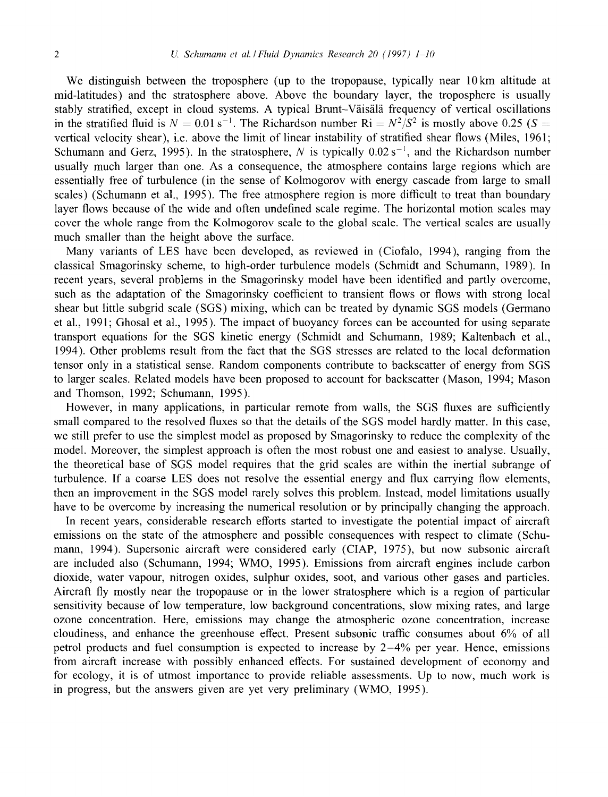We distinguish between the troposphere (up to the tropopause, typically near 10km altitude at mid-latitudes) and the stratosphere above. Above the boundary layer, the troposphere is usually stably stratified, except in cloud systems. A typical Brunt-Väisälä frequency of vertical oscillations in the stratified fluid is  $N = 0.01 \text{ s}^{-1}$ . The Richardson number  $\text{Ri} = N^2/S^2$  is mostly above 0.25 (S = vertical velocity shear), i.e. above the limit of linear instability of stratified shear flows (Miles, 1961; Schumann and Gerz, 1995). In the stratosphere, N is typically  $0.02 s^{-1}$ , and the Richardson number usually much larger than one. As a consequence, the atmosphere contains large regions which are essentially free of turbulence (in the sense of Kolmogorov with energy cascade from large to small scales) (Schumann et al., 1995). The free atmosphere region is more difficult to treat than boundary layer flows because of the wide and often undefined scale regime. The horizontal motion scales may cover the whole range from the Kolmogorov scale to the global scale. The vertical scales are usually much smaller than the height above the surface.

Many variants of LES have been developed, as reviewed in (Ciofalo, 1994), ranging from the classical Smagorinsky scheme, to high-order turbulence models (Schmidt and Schumann, 1989). In recent years, several problems in the Smagorinsky model have been identified and partly overcome, such as the adaptation of the Smagorinsky coefficient to transient flows or flows with strong local shear but little subgrid scale (SGS) mixing, which can be treated by dynamic SGS models (Germano et al., 199 l; Ghosal et al., 1995). The impact of buoyancy forces can be accounted for using separate transport equations for the SGS kinetic energy (Schmidt and Schumann, 1989; Kaltenbach et al., 1994). Other problems result from the fact that the SGS stresses are related to the local deformation tensor only in a statistical sense. Random components contribute to backscatter of energy from SGS to larger scales. Related models have been proposed to account for backscatter (Mason, 1994; Mason and Thomson, 1992; Schumann, 1995).

However, in many applications, in particular remote from walls, the SGS fluxes are sufficiently small compared to the resolved fluxes so that the details of the SGS model hardly matter. In this case, we still prefer to use the simplest model as proposed by Smagorinsky to reduce the complexity of the model. Moreover, the simplest approach is often the most robust one and easiest to analyse. Usually, the theoretical base of SGS model requires that the grid scales are within the inertial subrange of turbulence. If a coarse LES does not resolve the essential energy and flux carrying flow elements, then an improvement in the SGS model rarely solves this problem. Instead, model limitations usually have to be overcome by increasing the numerical resolution or by principally changing the approach.

In recent years, considerable research efforts started to investigate the potential impact of aircraft emissions on the state of the atmosphere and possible consequences with respect to climate (Schumann, 1994). Supersonic aircraft were considered early (CIAP, 1975), but now subsonic aircraft are included also (Schumann, 1994; WMO, 1995). Emissions from aircraft engines include carbon dioxide, water vapour, nitrogen oxides, sulphur oxides, soot, and various other gases and particles. Aircraft fly mostly near the tropopause or in the lower stratosphere which is a region of particular sensitivity because of low temperature, low background concentrations, slow mixing rates, and large ozone concentration. Here, emissions may change the atmospheric ozone concentration, increase cloudiness, and enhance the greenhouse effect. Present subsonic traffic consumes about 6% of all petrol products and fuel consumption is expected to increase by  $2-4%$  per year. Hence, emissions from aircraft increase with possibly enhanced effects. For sustained development of economy and for ecology, it is of utmost importance to provide reliable assessments. Up to now, much work is in progress, but the answers given are yet very preliminary (WMO, 1995).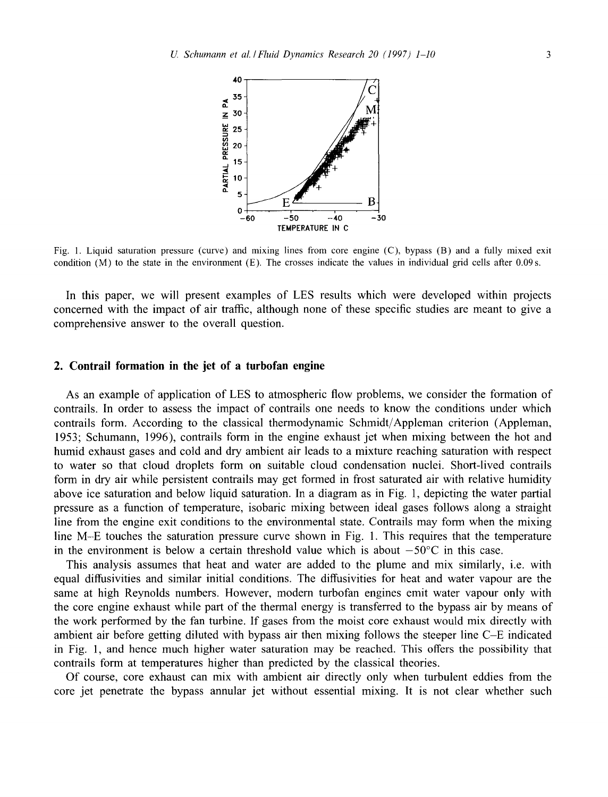

Fig. 1. Liquid saturation pressure (curve) and mixing lines from core engine (C), bypass (B) and a fully mixed exit condition  $(M)$  to the state in the environment  $(E)$ . The crosses indicate the values in individual grid cells after 0.09 s.

In this paper, we will present examples of LES results which were developed within projects concerned with the impact of air traffic, although none of these specific studies are meant to give a comprehensive answer to the overall question.

#### **2. Contrail formation in the jet of a turbofan engine**

As an example of application of LES to atmospheric flow problems, we consider the formation of contrails. In order to assess the impact of contrails one needs to know the conditions under which contrails form. According to the classical thermodynamic Schmidt/Appleman criterion (Appleman, 1953; Schumann, 1996), contrails form in the engine exhaust jet when mixing between the hot and humid exhaust gases and cold and dry ambient air leads to a mixture reaching saturation with respect to water so that cloud droplets form on suitable cloud condensation nuclei. Short-lived contrails form in dry air while persistent contrails may get formed in frost saturated air with relative humidity above ice saturation and below liquid saturation. In a diagram as in Fig. 1, depicting the water partial pressure as a function of temperature, isobaric mixing between ideal gases follows along a straight line from the engine exit conditions to the environmental state. Contrails may form when the mixing line M-E touches the saturation pressure curve shown in Fig. 1. This requires that the temperature in the environment is below a certain threshold value which is about  $-50^{\circ}$ C in this case.

This analysis assumes that heat and water are added to the plume and mix similarly, i.e. with equal diffusivities and similar initial conditions. The diffusivities for heat and water vapour are the same at high Reynolds numbers. However, modern turbofan engines emit water vapour only with the core engine exhaust while part of the thermal energy is transferred to the bypass air by means of the work performed by the fan turbine. If gases from the moist core exhaust would mix directly with ambient air before getting diluted with bypass air then mixing follows the steeper line C-E indicated in Fig. 1, and hence much higher water saturation may be reached. This offers the possibility that contrails form at temperatures higher than predicted by the classical theories.

Of course, core exhaust can mix with ambient air directly only when turbulent eddies from the core jet penetrate the bypass annular jet without essential mixing. It is not clear whether such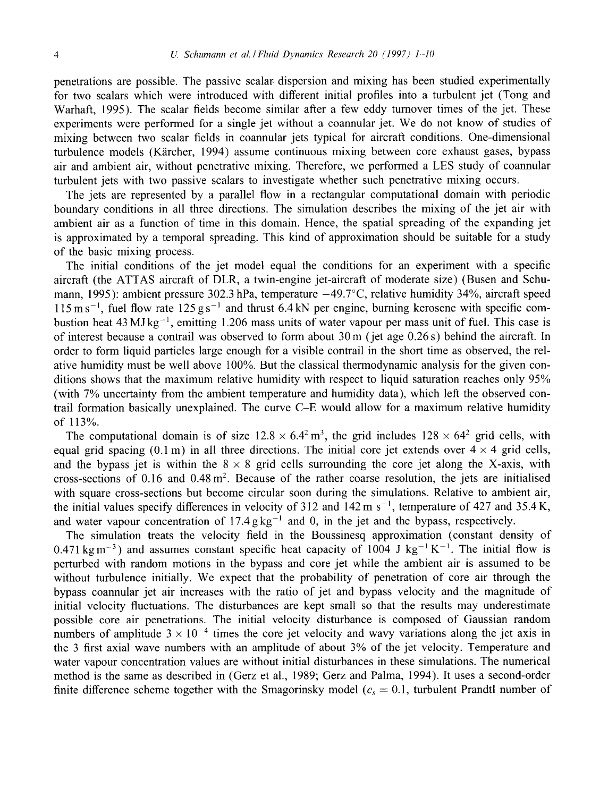penetrations are possible. The passive scalar dispersion and mixing has been studied experimentally for two scalars which were introduced with different initial profiles into a turbulent jet (Tong and Warhaft, 1995). The scalar fields become similar after a few eddy turnover times of the jet. These experiments were performed for a single jet without a coannular jet. We do not know of studies of mixing between two scalar fields in coannular jets typical for aircraft conditions. One-dimensional turbulence models (Kfircher, 1994) assume continuous mixing between core exhaust gases, bypass air and ambient air, without penetrative mixing. Therefore, we performed a LES study of coannular turbulent jets with two passive scalars to investigate whether such penetrative mixing occurs.

The jets are represented by a parallel flow in a rectangular computational domain with periodic boundary conditions in all three directions. The simulation describes the mixing of the jet air with ambient air as a function of time in this domain. Hence, the spatial spreading of the expanding jet is approximated by a temporal spreading. This kind of approximation should be suitable for a study of the basic mixing process.

The initial conditions of the jet model equal the conditions for an experiment with a specific aircraft (the ATTAS aircraft of DLR, a twin-engine jet-aircraft of moderate size) (Busen and Schumann, 1995): ambient pressure 302.3 hPa, temperature  $-49.7^{\circ}$ C, relative humidity 34%, aircraft speed  $115 \text{ m s}^{-1}$ , fuel flow rate  $125 \text{ g s}^{-1}$  and thrust 6.4 kN per engine, burning kerosene with specific combustion heat 43 MJ kg<sup>-1</sup>, emitting 1.206 mass units of water vapour per mass unit of fuel. This case is of interest because a contrail was observed to form about  $30 \text{ m}$  (jet age  $0.26 \text{ s}$ ) behind the aircraft. In order to form liquid particles large enough for a visible contrail in the short time as observed, the relative humidity must be well above 100%. But the classical thermodynamic analysis for the given conditions shows that the maximum relative humidity with respect to liquid saturation reaches only 95% (with 7% uncertainty from the ambient temperature and humidity data), which left the observed contrail formation basically unexplained. The curve C-E would allow for a maximum relative humidity of 113%.

The computational domain is of size  $12.8 \times 6.4^2$  m<sup>3</sup>, the grid includes  $128 \times 64^2$  grid cells, with equal grid spacing (0.1 m) in all three directions. The initial core jet extends over  $4 \times 4$  grid cells, and the bypass jet is within the  $8 \times 8$  grid cells surrounding the core jet along the X-axis, with cross-sections of  $0.16$  and  $0.48 \text{ m}^2$ . Because of the rather coarse resolution, the jets are initialised with square cross-sections but become circular soon during the simulations. Relative to ambient air, the initial values specify differences in velocity of 312 and  $142 \text{ m s}^{-1}$ , temperature of 427 and 35.4 K, and water vapour concentration of  $17.4$  g kg<sup>-1</sup> and 0, in the jet and the bypass, respectively.

The simulation treats the velocity field in the Boussinesq approximation (constant density of  $0.471 \text{ kg m}^{-3}$ ) and assumes constant specific heat capacity of 1004 J kg<sup>-1</sup> K<sup>-1</sup>. The initial flow is perturbed with random motions in the bypass and core jet while the ambient air is assumed to be without turbulence initially. We expect that the probability of penetration of core air through the bypass coannular jet air increases with the ratio of jet and bypass velocity and the magnitude of initial velocity fluctuations. The disturbances are kept small so that the results may underestimate possible core air penetrations. The initial velocity disturbance is composed of Gaussian random numbers of amplitude  $3 \times 10^{-4}$  times the core jet velocity and wavy variations along the jet axis in the 3 first axial wave numbers with an amplitude of about 3% of the jet velocity. Temperature and water vapour concentration values are without initial disturbances in these simulations. The numerical method is the same as described in (Gerz et al., 1989; Gerz and Palma, 1994). It uses a second-order finite difference scheme together with the Smagorinsky model ( $c_s = 0.1$ , turbulent Prandtl number of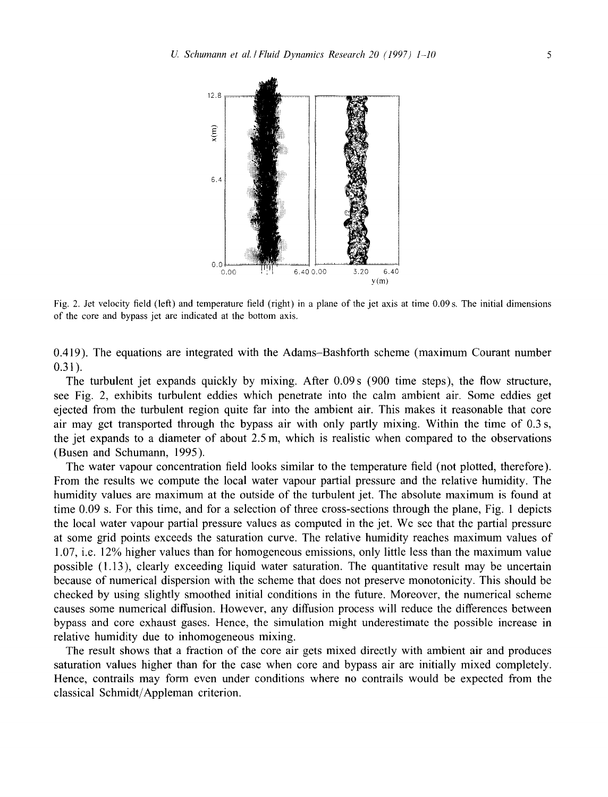

Fig. 2. Jet velocity field (left) and temperature field (right) in a plane of the jet axis at time 0.09 s. The initial dimensions of the core and bypass jet are indicated at the bottom axis.

0.419). The equations are integrated with the Adams-Bashforth scheme (maximum Courant number 0.31).

The turbulent jet expands quickly by mixing. After 0.09 s (900 time steps), the flow structure, see Fig. 2, exhibits turbulent eddies which penetrate into the calm ambient air. Some eddies get ejected from the turbulent region quite far into the ambient air. This makes it reasonable that core air may get transported through the bypass air with only partly mixing. Within the time of 0.3 s, the jet expands to a diameter of about 2.5 m, which is realistic when compared to the observations (Busen and Schumann, 1995).

The water vapour concentration field looks similar to the temperature field (not plotted, therefore). From the results we compute the local water vapour partial pressure and the relative humidity. The humidity values are maximum at the outside of the turbulent jet. The absolute maximum is found at time 0.09 s. For this time, and for a selection of three cross-sections through the plane, Fig. 1 depicts the local water vapour partial pressure values as computed in the jet. We see that the partial pressure at some grid points exceeds the saturation curve. The relative humidity reaches maximum values of 1.07, i.e. 12% higher values than for homogeneous emissions, only little less than the maximum value possible (1.13), clearly exceeding liquid water saturation. The quantitative result may be uncertain because of numerical dispersion with the scheme that does not preserve monotonicity. This should be checked by using slightly smoothed initial conditions in the future. Moreover, the numerical scheme causes some numerical diffusion. However, any diffusion process will reduce the differences between bypass and core exhaust gases. Hence, the simulation might underestimate the possible increase in relative humidity due to inhomogeneous mixing.

The result shows that a fraction of the core air gets mixed directly with ambient air and produces saturation values higher than for the case when core and bypass air are initially mixed completely. Hence, contrails may form even under conditions where no contrails would be expected from the classical Schmidt/Appleman criterion.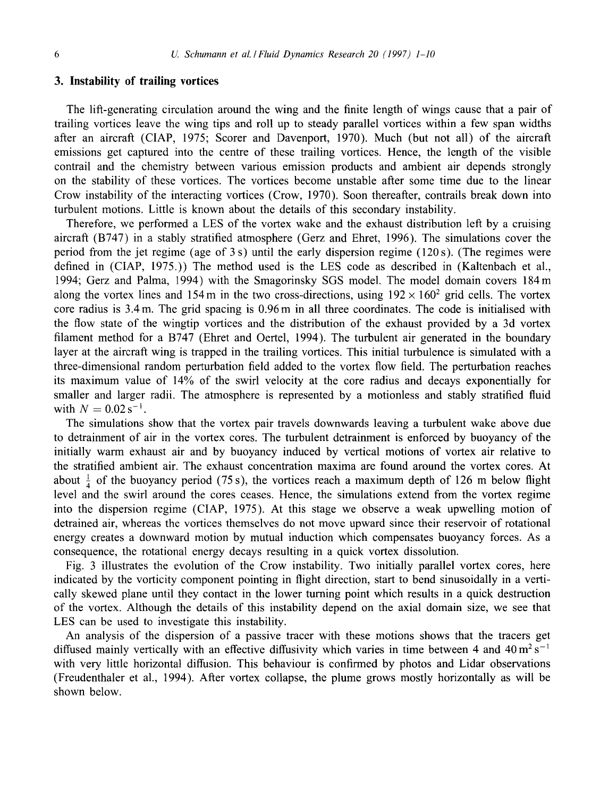#### **3. Instability of trailing vortices**

The lift-generating circulation around the wing and the finite length of wings cause that a pair of trailing vortices leave the wing tips and roll up to steady parallel vortices within a few span widths after an aircraft (CIAP, 1975; Scorer and Davenport, 1970). Much (but not all) of the aircraft emissions get captured into the centre of these trailing vortices. Hence, the length of the visible contrail and the chemistry between various emission products and ambient air depends strongly on the stability of these vortices. The vortices become unstable after some time due to the linear Crow instability of the interacting vortices (Crow, 1970). Soon thereafter, contrails break down into turbulent motions. Little is known about the details of this secondary instability.

Therefore, we performed a LES of the vortex wake and the exhaust distribution left by a cruising aircraft (B747) in a stably stratified atmosphere (Gerz and Ehret, 1996). The simulations cover the period from the jet regime (age of 3 s) until the early dispersion regime (120s). (The regimes were defined in (CIAP, 1975.)) The method used is the LES code as described in (Kaltenbach et al., 1994; Gerz and Palma, 1994) with the Smagorinsky SGS model. The model domain covers 184m along the vortex lines and 154 m in the two cross-directions, using  $192 \times 160^2$  grid cells. The vortex core radius is 3.4 m. The grid spacing is 0.96 m in all three coordinates. The code is initialised with the flow state of the wingtip vortices and the distribution of the exhaust provided by a 3d vortex filament method for a B747 (Ehret and Oertel, 1994). The turbulent air generated in the boundary layer at the aircraft wing is trapped in the trailing vortices. This initial turbulence is simulated with a three-dimensional random perturbation field added to the vortex flow field. The perturbation reaches its maximum value of 14% of the swirl velocity at the core radius and decays exponentially for smaller and larger radii. The atmosphere is represented by a motionless and stably stratified fluid with  $N = 0.02 s^{-1}$ .

The simulations show that the vortex pair travels downwards leaving a turbulent wake above due to detrainment of air in the vortex cores. The turbulent detrainment is enforced by buoyancy of the initially warm exhaust air and by buoyancy induced by vertical motions of vortex air relative to the stratified ambient air. The exhaust concentration maxima are found around the vortex cores. At about  $\frac{1}{4}$  of the buoyancy period (75 s), the vortices reach a maximum depth of 126 m below flight level and the swirl around the cores ceases. Hence, the simulations extend from the vortex regime into the dispersion regime (CIAP, 1975). At this stage we observe a weak upwelling motion of detrained air, whereas the vortices themselves do not move upward since their reservoir of rotational energy creates a downward motion by mutual induction which compensates buoyancy forces. As a consequence, the rotational energy decays resulting in a quick vortex dissolution.

Fig. 3 illustrates the evolution of the Crow instability. Two initially parallel vortex cores, here indicated by the vorticity component pointing in flight direction, start to bend sinusoidally in a vertically skewed plane until they contact in the lower turning point which results in a quick destruction of the vortex. Although the details of this instability depend on the axial domain size, we see that LES can be used to investigate this instability.

An analysis of the dispersion of a passive tracer with these motions shows that the tracers get diffused mainly vertically with an effective diffusivity which varies in time between 4 and  $40 \text{ m}^2 \text{ s}^{-1}$ with very little horizontal diffusion. This behaviour is confirmed by photos and Lidar observations (Freudenthaler et al., 1994). After vortex collapse, the plume grows mostly horizontally as will be shown below.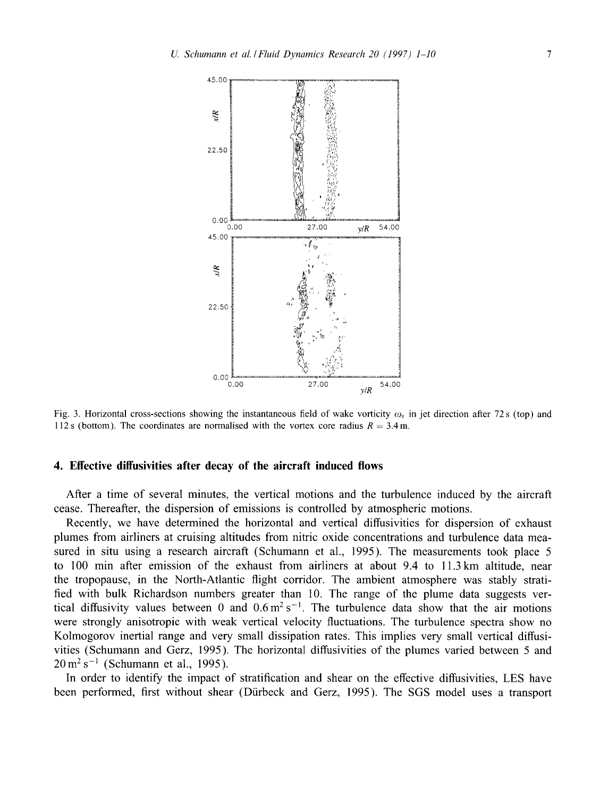

Fig. 3. Horizontal cross-sections showing the instantaneous field of wake vorticity  $\omega_r$  in jet direction after 72 s (top) and 112 s (bottom). The coordinates are normalised with the vortex core radius  $R = 3.4$  m.

#### **4. Effective diffusivities after decay of the aircraft induced flows**

**After a time of several minutes, the vertical motions and the turbulence induced by the aircraft cease. Thereafter, the dispersion of emissions is controlled by atmospheric motions.** 

**Recently, we have determined the horizontal and vertical diffusivities for dispersion of exhaust plumes from airliners at cruising altitudes from nitric oxide concentrations and turbulence data measured in situ using a research aircraft (Schumann et al., 1995). The measurements took place 5**  to 100 min after emission of the exhaust from airliners at about 9.4 to 11.3 km altitude, near **the tropopause, in the North-Atlantic flight corridor. The ambient atmosphere was stably stratified with bulk Richardson numbers greater than 10. The range of the plume data suggests ver**tical diffusivity values between 0 and  $0.6 \,\mathrm{m^2\,s^{-1}}$ . The turbulence data show that the air motions **were strongly anisotropic with weak vertical velocity fluctuations. The turbulence spectra show no Kolmogorov inertial range and very small dissipation rates. This implies very small vertical diffusivities (Schumann and Gerz, 1995). The horizontal diffusivities of the plumes varied between 5 and 20m 2 s -1 (Schumann et al., 1995).** 

**In order to identify the impact of stratification and shear on the effective diffusivities, LES have**  been performed, first without shear (Dürbeck and Gerz, 1995). The SGS model uses a transport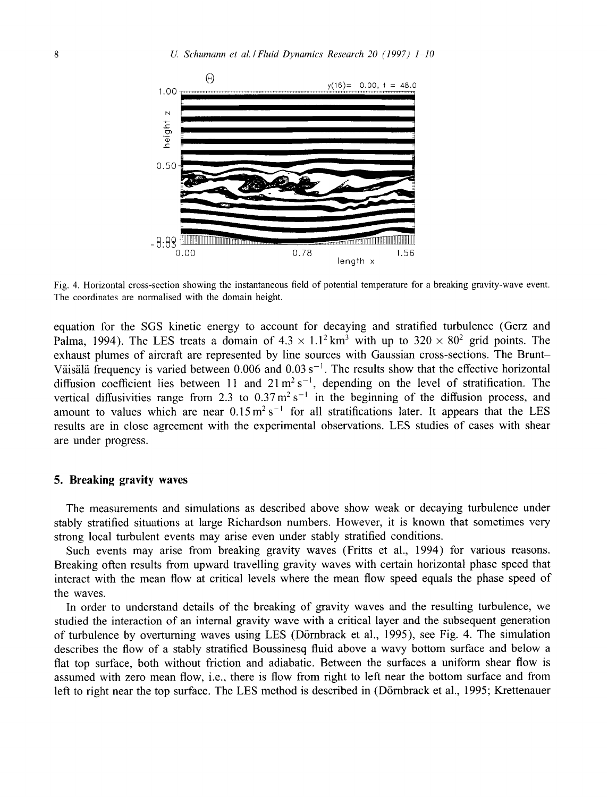

Fig. 4. Horizontal cross-section showing the instantaneous field of potential temperature for a breaking gravity-wave event. The coordinates are normalised with the domain height.

equation for the SGS kinetic energy to account for decaying and stratified turbulence (Gerz and Palma, 1994). The LES treats a domain of  $4.3 \times 1.1^2 \text{ km}^3$  with up to  $320 \times 80^2$  grid points. The exhaust plumes of aircraft are represented by line sources with Gaussian cross-sections. The Brunt-Väisälä frequency is varied between 0.006 and  $0.03 s^{-1}$ . The results show that the effective horizontal diffusion coefficient lies between 11 and  $21 \text{ m}^2 \text{ s}^{-1}$ , depending on the level of stratification. The vertical diffusivities range from 2.3 to  $0.37 \text{ m}^2 \text{ s}^{-1}$  in the beginning of the diffusion process, and amount to values which are near  $0.15 \text{ m}^2 \text{ s}^{-1}$  for all stratifications later. It appears that the LES results are in close agreement with the experimental observations. LES studies of cases with shear are under progress.

### **5. Breaking gravity waves**

The measurements and simulations as described above show weak or decaying turbulence under stably stratified situations at large Richardson numbers. However, it is known that sometimes very strong local turbulent events may arise even under stably stratified conditions.

Such events may arise from breaking gravity waves (Fritts et al., 1994) for various reasons. Breaking often results from upward travelling gravity waves with certain horizontal phase speed that interact with the mean flow at critical levels where the mean flow speed equals the phase speed of the waves.

In order to understand details of the breaking of gravity waves and the resulting turbulence, we studied the interaction of an internal gravity wave with a critical layer and the subsequent generation of turbulence by overturning waves using LES (D6rnbrack et al., 1995), see Fig. 4. The simulation describes the flow of a stably stratified Boussinesq fluid above a wavy bottom surface and below a flat top surface, both without friction and adiabatic. Between the surfaces a uniform shear flow is assumed with zero mean flow, i.e., there is flow from right to left near the bottom surface and from left to right near the top surface. The LES method is described in (Dörnbrack et al., 1995; Krettenauer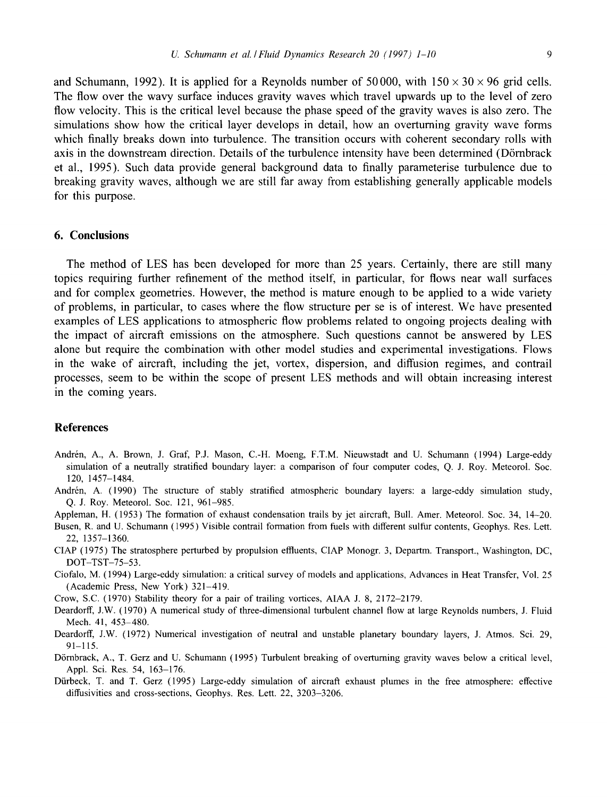and Schumann, 1992). It is applied for a Reynolds number of 50000, with  $150 \times 30 \times 96$  grid cells. The flow over the wavy surface induces gravity waves which travel upwards up to the level of zero flow velocity. This is the critical level because the phase speed of the gravity waves is also zero. The simulations show how the critical layer develops in detail, how an overturning gravity wave forms which finally breaks down into turbulence. The transition occurs with coherent secondary rolls with axis in the downstream direction. Details of the turbulence intensity have been determined (Dörnbrack et al., 1995). Such data provide general background data to finally parameterise turbulence due to breaking gravity waves, although we are still far away from establishing generally applicable models for this purpose.

## **6. Conclusions**

The method of LES has been developed for more than 25 years. Certainly, there are still many topics requiring further refinement of the method itself, in particular, for flows near wall surfaces and for complex geometries. However, the method is mature enough to be applied to a wide variety of problems, in particular, to cases where the flow structure per se is of interest. We have presented examples of LES applications to atmospheric flow problems related to ongoing projects dealing with the impact of aircraft emissions on the atmosphere. Such questions cannot be answered by LES alone but require the combination with other model studies and experimental investigations. Flows in the wake of aircraft, including the jet, vortex, dispersion, and diffusion regimes, and contrail processes, seem to be within the scope of present LES methods and will obtain increasing interest in the coming years.

## **References**

- Andrén, A., A. Brown, J. Graf, P.J. Mason, C.-H. Moeng, F.T.M. Nieuwstadt and U. Schumann (1994) Large-eddy simulation of a neutrally stratified boundary layer: a comparison of four computer codes, Q. J. Roy. Meteorol. Soc. 120, 1457-1484.
- Andrén, A. (1990) The structure of stably stratified atmospheric boundary layers: a large-eddy simulation study, Q. J. Roy. Meteorol. Soc. 121, 961-985.
- Appleman, H. (1953) The formation of exhaust condensation trails by jet aircraft, Bull. Amer. Meteorol. Soc. 34, 14-20.
- Busen, R. and U. Schumann (1995) Visible contrail formation from fuels with different sulfur contents, Geophys. Res. Lett. 22, 1357-1360.
- CIAP (1975) The stratosphere perturbed by propulsion effluents, CIAP Monogr. 3, Departm. Transport., Washington, DC, DOT-TST-75-53.
- Ciofalo, M. (1994) Large-eddy simulation: a critical survey of models and applications, Advances in Heat Transfer, Vol. 25 (Academic Press, New York) 321-419.
- Crow, S.C. (1970) Stability theory for a pair of trailing vortices, AIAA J. 8, 2172-2179.
- Deardorff, J.W. (1970) A numerical study of three-dimensional turbulent channel flow at large Reynolds numbers, J. Fluid Mech. 41, 453-480.
- Deardorff, J.W. (1972) Numerical investigation of neutral and unstable planetary boundary layers, J. Atmos. Sci. 29,  $91 - 115$ .
- Dörnbrack, A., T. Gerz and U. Schumann (1995) Turbulent breaking of overturning gravity waves below a critical level, Appl. Sci. Res. 54, 163-176.
- Diirbeck, T. and T. Gerz (1995) Large-eddy simulation of aircraft exhaust plumes in the free atmosphere: effective diffusivities and cross-sections, Geophys. Res. Lett. 22, 3203-3206.